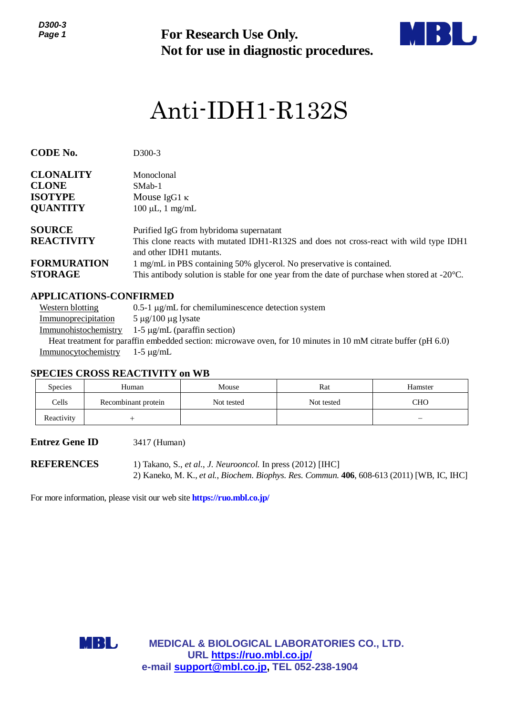*D300-3 Page 1*



# Anti-IDH1-R132S

| ๛๛๛<br>Page 1                                                                                 |                                                                                                                                                                                                | <b>For Research Use Only.</b><br>Not for use in diagnostic procedures.                                                                                                                                                                                                                                                                           |            |            |  |  |  |  |
|-----------------------------------------------------------------------------------------------|------------------------------------------------------------------------------------------------------------------------------------------------------------------------------------------------|--------------------------------------------------------------------------------------------------------------------------------------------------------------------------------------------------------------------------------------------------------------------------------------------------------------------------------------------------|------------|------------|--|--|--|--|
|                                                                                               |                                                                                                                                                                                                | Anti-IDH1-R132S                                                                                                                                                                                                                                                                                                                                  |            |            |  |  |  |  |
| <b>CODE No.</b>                                                                               | D300-3                                                                                                                                                                                         |                                                                                                                                                                                                                                                                                                                                                  |            |            |  |  |  |  |
| <b>CLONALITY</b><br><b>CLONE</b><br><b>ISOTYPE</b><br><b>QUANTITY</b>                         | Monoclonal<br>SMab-1                                                                                                                                                                           | Mouse IgG1 $\kappa$<br>$100 \mu L$ , 1 mg/mL                                                                                                                                                                                                                                                                                                     |            |            |  |  |  |  |
| <b>SOURCE</b><br><b>REACTIVITY</b><br><b>FORMURATION</b><br><b>STORAGE</b>                    |                                                                                                                                                                                                | Purified IgG from hybridoma supernatant<br>This clone reacts with mutated IDH1-R132S and does not cross-react with wild type IDH1<br>and other IDH1 mutants.<br>1 mg/mL in PBS containing 50% glycerol. No preservative is contained.<br>This antibody solution is stable for one year from the date of purchase when stored at $-20^{\circ}$ C. |            |            |  |  |  |  |
| <b>Western blotting</b><br>Immunoprecipitation<br>Immunohistochemistry<br>Immunocytochemistry | <b>APPLICATIONS-CONFIRMED</b><br>$5 \mu g/100 \mu g$ lysate<br>Heat treatment for paraffin embedded section: microwave oven, for 10 minutes in 10 mM citrate buffer (pH 6.0)<br>$1-5 \mu g/mL$ | $0.5$ -1 $\mu$ g/mL for chemiluminescence detection system<br>$1-5 \mu g/mL$ (paraffin section)                                                                                                                                                                                                                                                  |            |            |  |  |  |  |
| <b>Species</b>                                                                                | <b>SPECIES CROSS REACTIVITY on WB</b><br>Human                                                                                                                                                 | Mouse                                                                                                                                                                                                                                                                                                                                            | Rat        | Hamster    |  |  |  |  |
| Cells                                                                                         | Recombinant protein                                                                                                                                                                            | Not tested                                                                                                                                                                                                                                                                                                                                       | Not tested | <b>CHO</b> |  |  |  |  |
| Reactivity                                                                                    | $^{+}$                                                                                                                                                                                         |                                                                                                                                                                                                                                                                                                                                                  |            |            |  |  |  |  |
| <b>Entrez Gene ID</b>                                                                         | 3417 (Human)                                                                                                                                                                                   |                                                                                                                                                                                                                                                                                                                                                  |            |            |  |  |  |  |
| <b>REFERENCES</b>                                                                             |                                                                                                                                                                                                | 1) Takano, S., et al., J. Neurooncol. In press (2012) [IHC]<br>2) Kaneko, M. K., et al., Biochem. Biophys. Res. Commun. 406, 608-613 (2011) [WB, IC, IHC]                                                                                                                                                                                        |            |            |  |  |  |  |
|                                                                                               | For more information, please visit our web site <b>https://ruo.mbl.co.jp/</b>                                                                                                                  |                                                                                                                                                                                                                                                                                                                                                  |            |            |  |  |  |  |
|                                                                                               |                                                                                                                                                                                                |                                                                                                                                                                                                                                                                                                                                                  |            |            |  |  |  |  |
|                                                                                               |                                                                                                                                                                                                |                                                                                                                                                                                                                                                                                                                                                  |            |            |  |  |  |  |
|                                                                                               |                                                                                                                                                                                                |                                                                                                                                                                                                                                                                                                                                                  |            |            |  |  |  |  |
|                                                                                               | MBL,                                                                                                                                                                                           | <b>MEDICAL &amp; BIOLOGICAL LABORATORIES CO., LTD.</b>                                                                                                                                                                                                                                                                                           |            |            |  |  |  |  |
|                                                                                               |                                                                                                                                                                                                | URL https://ruo.mbl.co.jp/<br>e-mail support@mbl.co.jp, TEL 052-238-1904                                                                                                                                                                                                                                                                         |            |            |  |  |  |  |

## **APPLICATIONS-CONFIRMED**

#### **SPECIES CROSS REACTIVITY on WB**

| <b>Species</b> | Human               | Mouse      | Rat        | Hamster                  |  |
|----------------|---------------------|------------|------------|--------------------------|--|
| Cells          | Recombinant protein | Not tested | Not tested | СНО                      |  |
| Reactivity     |                     |            |            | $\overline{\phantom{0}}$ |  |

### **Entrez Gene ID** 3417 (Human)

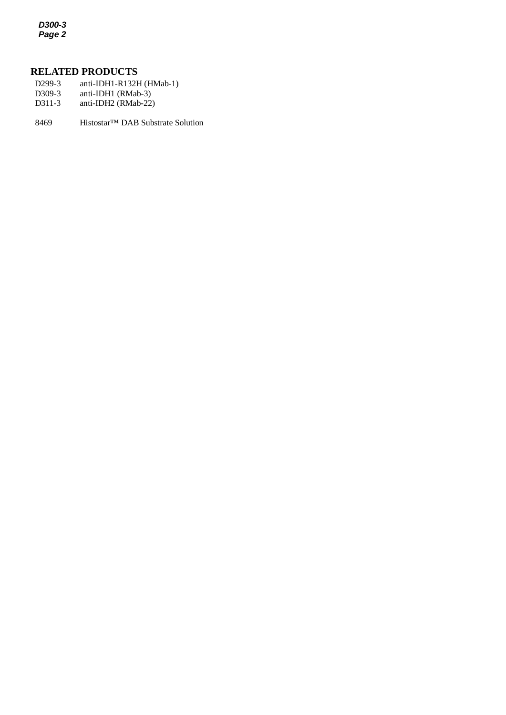*D300-3 Page 2*

# **RELATED PRODUCTS**

- D299-3 anti-IDH1-R132H (HMab-1)<br>D309-3 anti-IDH1 (RMab-3)
- *2* D309-3 anti-IDH1 (RMab-3) D311-3 anti-IDH2 (RMab-22)

8469 Histostar™ DAB Substrate Solution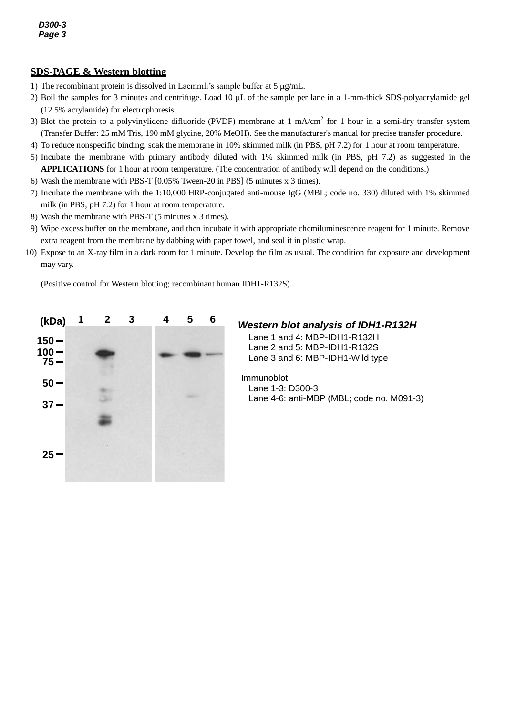#### **SDS-PAGE & Western blotting**

- 1) The recombinant protein is dissolved in Laemmli's sample buffer at  $5 \mu g/mL$ .
- 2) Boil the samples for 3 minutes and centrifuge. Load 10  $\mu$ L of the sample per lane in a 1-mm-thick SDS-polyacrylamide gel (12.5% acrylamide) for electrophoresis.
- 3) Blot the protein to a polyvinylidene difluoride (PVDF) membrane at  $1 \text{ mA/cm}^2$  for  $1 \text{ hour}$  in a semi-dry transfer system (Transfer Buffer: 25 mM Tris, 190 mM glycine, 20% MeOH). See the manufacturer's manual for precise transfer procedure.
- 4) To reduce nonspecific binding, soak the membrane in 10% skimmed milk (in PBS, pH 7.2) for 1 hour at room temperature.
- 5) Incubate the membrane with primary antibody diluted with 1% skimmed milk (in PBS, pH 7.2) as suggested in the **APPLICATIONS** for 1 hour at room temperature. (The concentration of antibody will depend on the conditions.)
- 6) Wash the membrane with PBS-T [0.05% Tween-20 in PBS] (5 minutes x 3 times).
- 7) Incubate the membrane with the 1:10,000 HRP-conjugated anti-mouse IgG (MBL; code no. 330) diluted with 1% skimmed milk (in PBS, pH 7.2) for 1 hour at room temperature.
- 8) Wash the membrane with PBS-T (5 minutes x 3 times).
- 9) Wipe excess buffer on the membrane, and then incubate it with appropriate chemiluminescence reagent for 1 minute. Remove extra reagent from the membrane by dabbing with paper towel, and seal it in plastic wrap.
- 10) Expose to an X-ray film in a dark room for 1 minute. Develop the film as usual. The condition for exposure and development may vary.

(Positive control for Western blotting; recombinant human IDH1-R132S)

| (kDa)                          | 1 | $\mathbf{2}$ | 3 | 4 | 5 | 6 |
|--------------------------------|---|--------------|---|---|---|---|
| $150 -$<br>$\frac{100-75}{75}$ |   |              |   |   |   |   |
| $50 -$                         |   |              |   |   |   |   |
| $37 -$                         |   |              |   |   |   |   |
| $25 -$                         |   |              |   |   |   |   |

#### **(kDa)** *Western blot analysis of IDH1-R132H*

Lane 1 and 4: MBP-IDH1-R132H Lane 2 and 5: MBP-IDH1-R132S Lane 3 and 6: MBP-IDH1-Wild type

Immunoblot Lane 1-3: D300-3 Lane 4-6: anti-MBP (MBL; code no. M091-3)